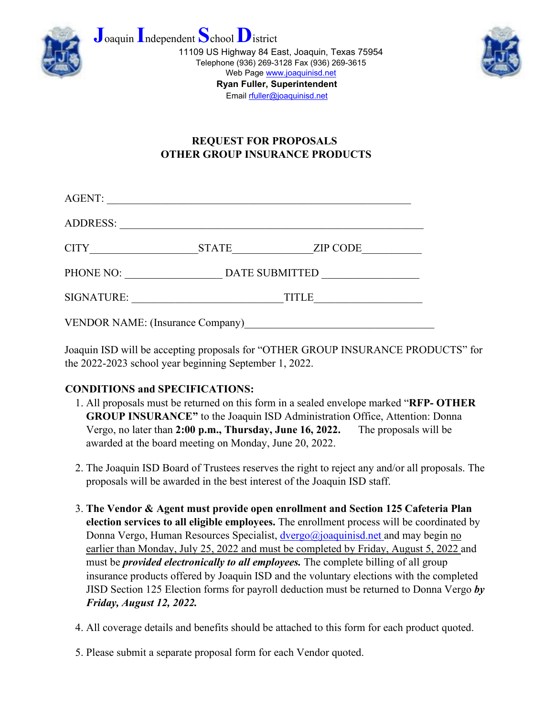





## **REQUEST FOR PROPOSALS OTHER GROUP INSURANCE PRODUCTS**

| AGENT:                                  |                |                 |  |
|-----------------------------------------|----------------|-----------------|--|
| <b>ADDRESS:</b>                         |                |                 |  |
| <b>CITY</b>                             | <b>STATE</b>   | <b>ZIP CODE</b> |  |
| PHONE NO:                               | DATE SUBMITTED |                 |  |
| <b>SIGNATURE:</b>                       | <b>TITLE</b>   |                 |  |
| <b>VENDOR NAME: (Insurance Company)</b> |                |                 |  |

Joaquin ISD will be accepting proposals for "OTHER GROUP INSURANCE PRODUCTS" for the 2022-2023 school year beginning September 1, 2022.

## **CONDITIONS and SPECIFICATIONS:**

- 1. All proposals must be returned on this form in a sealed envelope marked "**RFP- OTHER GROUP INSURANCE"** to the Joaquin ISD Administration Office, Attention: Donna Vergo, no later than **2:00 p.m., Thursday, June 16, 2022.** The proposals will be awarded at the board meeting on Monday, June 20, 2022.
- 2. The Joaquin ISD Board of Trustees reserves the right to reject any and/or all proposals. The proposals will be awarded in the best interest of the Joaquin ISD staff.
- 3. **The Vendor & Agent must provide open enrollment and Section 125 Cafeteria Plan election services to all eligible employees.** The enrollment process will be coordinated by Donna Vergo, Human Resources Specialist, dvergo@joaquinisd.net and may begin no earlier than Monday, July 25, 2022 and must be completed by Friday, August 5, 2022 and must be *provided electronically to all employees.* The complete billing of all group insurance products offered by Joaquin ISD and the voluntary elections with the completed JISD Section 125 Election forms for payroll deduction must be returned to Donna Vergo *by Friday, August 12, 2022.*
- 4. All coverage details and benefits should be attached to this form for each product quoted.
- 5. Please submit a separate proposal form for each Vendor quoted.